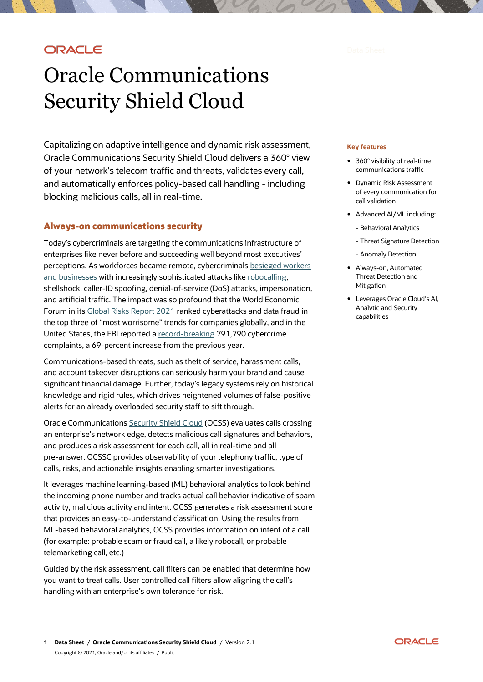## ORACLE

# Oracle Communications Security Shield Cloud

Capitalizing on adaptive intelligence and dynamic risk assessment, Oracle Communications Security Shield Cloud delivers a 360° view of your network's telecom traffic and threats, validates every call, and automatically enforces policy-based call handling - including blocking malicious calls, all in real-time.

## **Always-on communications security**

Today's cybercriminals are targeting the communications infrastructure of enterprises like never before and succeeding well beyond most executives' perceptions. As workforces became remote, cybercriminals [besieged workers](https://www.weforum.org/agenda/2021/01/top-cybersecurity-challenges-of-2021/)  [and businesses](https://www.weforum.org/agenda/2021/01/top-cybersecurity-challenges-of-2021/) with increasingly sophisticated attacks lik[e robocalling,](https://blogs.oracle.com/oracle-communications/post/new-steps-to-protect-consumers-businesses-from-spoofed-robocalls-during-critical-times) shellshock, caller-ID spoofing, denial-of-service (DoS) attacks, impersonation, and artificial traffic. The impact was so profound that the World Economic Forum in its [Global Risks Report 2021](https://www.weforum.org/reports/the-global-risks-report-2021) ranked cyberattacks and data fraud in the top three of "most worrisome" trends for companies globally, and in the United States, the FBI reported a [record-breaking](https://www.ic3.gov/Media/PDF/AnnualReport/2020_IC3Report.pdf) 791,790 cybercrime complaints, a 69-percent increase from the previous year.

Communications-based threats, such as theft of service, harassment calls, and account takeover disruptions can seriously harm your brand and cause significant financial damage. Further, today's legacy systems rely on historical knowledge and rigid rules, which drives heightened volumes of false-positive alerts for an already overloaded security staff to sift through.

Oracle Communications [Security Shield Cloud](https://www.oracle.com/industries/communications/enterprise-communications/products/security-shield-cloud/) (OCSS) evaluates calls crossing an enterprise's network edge, detects malicious call signatures and behaviors, and produces a risk assessment for each call, all in real-time and all pre-answer. OCSSC provides observability of your telephony traffic, type of calls, risks, and actionable insights enabling smarter investigations.

It leverages machine learning-based (ML) behavioral analytics to look behind the incoming phone number and tracks actual call behavior indicative of spam activity, malicious activity and intent. OCSS generates a risk assessment score that provides an easy-to-understand classification. Using the results from ML-based behavioral analytics, OCSS provides information on intent of a call (for example: probable scam or fraud call, a likely robocall, or probable telemarketing call, etc.)

Guided by the risk assessment, call filters can be enabled that determine how you want to treat calls. User controlled call filters allow aligning the call's handling with an enterprise's own tolerance for risk.

#### **Key features**

- 360° visibility of real-time communications traffic
- Dynamic Risk Assessment of every communication for call validation
- Advanced AI/ML including:
	- Behavioral Analytics
	- Threat Signature Detection
	- Anomaly Detection
- Always-on, Automated Threat Detection and Mitigation
- Leverages Oracle Cloud's AI, Analytic and Security capabilities

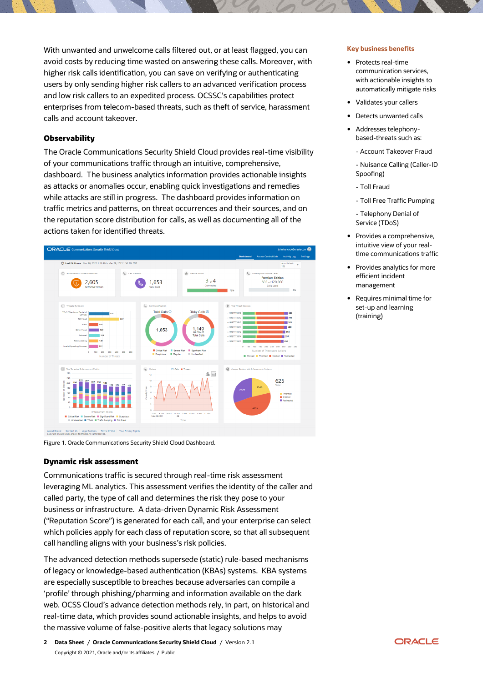With unwanted and unwelcome calls filtered out, or at least flagged, you can avoid costs by reducing time wasted on answering these calls. Moreover, with higher risk calls identification, you can save on verifying or authenticating users by only sending higher risk callers to an advanced verification process and low risk callers to an expedited process. OCSSC's capabilities protect enterprises from telecom-based threats, such as theft of service, harassment calls and account takeover.

## **Observability**

The Oracle Communications Security Shield Cloud provides real-time visibility of your communications traffic through an intuitive, comprehensive, dashboard. The business analytics information provides actionable insights as attacks or anomalies occur, enabling quick investigations and remedies while attacks are still in progress. The dashboard provides information on traffic metrics and patterns, on threat occurrences and their sources, and on the reputation score distribution for calls, as well as documenting all of the actions taken for identified threats.



Figure 1. Oracle Communications Security Shield Cloud Dashboard.

### **Dynamic risk assessment**

Communications traffic is secured through real-time risk assessment leveraging ML analytics. This assessment verifies the identity of the caller and called party, the type of call and determines the risk they pose to your business or infrastructure. A data-driven Dynamic Risk Assessment ("Reputation Score") is generated for each call, and your enterprise can select which policies apply for each class of reputation score, so that all subsequent call handling aligns with your business's risk policies.

The advanced detection methods supersede (static) rule-based mechanisms of legacy or knowledge-based authentication (KBAs) systems. KBA systems are especially susceptible to breaches because adversaries can compile a 'profile' through phishing/pharming and information available on the dark web. OCSS Cloud's advance detection methods rely, in part, on historical and real-time data, which provides sound actionable insights, and helps to avoid the massive volume of false-positive alerts that legacy solutions may

#### **Key business benefits**

- Protects real-time communication services, with actionable insights to automatically mitigate risks
- Validates your callers
- Detects unwanted calls
- Addresses telephonybased-threats such as:
	- Account Takeover Fraud
	- Nuisance Calling (Caller-ID Spoofing)
	- Toll Fraud
	- Toll Free Traffic Pumping

- Telephony Denial of Service (TDoS)

- Provides a comprehensive, intuitive view of your realtime communications traffic
- Provides analytics for more efficient incident management
- Requires minimal time for set-up and learning (training)

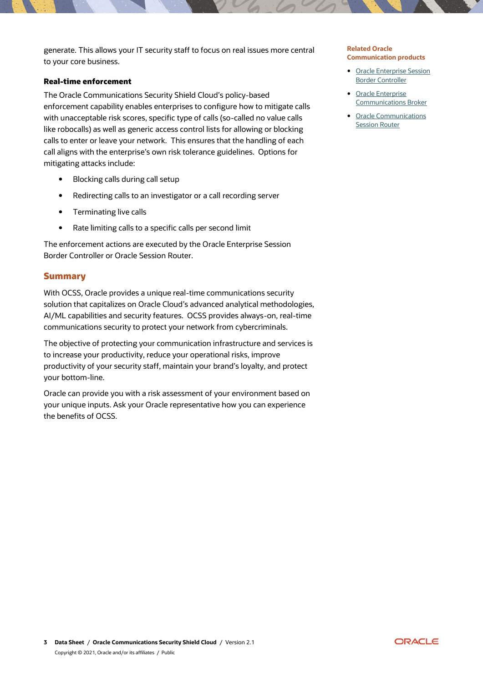generate. This allows your IT security staff to focus on real issues more central to your core business.

## **Real-time enforcement**

The Oracle Communications Security Shield Cloud's policy-based enforcement capability enables enterprises to configure how to mitigate calls with unacceptable risk scores, specific type of calls (so-called no value calls like robocalls) as well as generic access control lists for allowing or blocking calls to enter or leave your network. This ensures that the handling of each call aligns with the enterprise's own risk tolerance guidelines. Options for mitigating attacks include:

- Blocking calls during call setup
- Redirecting calls to an investigator or a call recording server
- Terminating live calls
- Rate limiting calls to a specific calls per second limit

The enforcement actions are executed by the Oracle Enterprise Session Border Controller or Oracle Session Router.

## **Summary**

With OCSS, Oracle provides a unique real-time communications security solution that capitalizes on Oracle Cloud's advanced analytical methodologies, AI/ML capabilities and security features. OCSS provides always-on, real-time communications security to protect your network from cybercriminals.

The objective of protecting your communication infrastructure and services is to increase your productivity, reduce your operational risks, improve productivity of your security staff, maintain your brand's loyalty, and protect your bottom-line.

Oracle can provide you with a risk assessment of your environment based on your unique inputs. Ask your Oracle representative how you can experience the benefits of OCSS.

## **Related Oracle Communication products**

- [Oracle Enterprise Session](https://www.oracle.com/a/ocom/docs/industries/communications/enterprise-session-border-controller-ds.pdf)  [Border Controller](https://www.oracle.com/a/ocom/docs/industries/communications/enterprise-session-border-controller-ds.pdf)
- Oracle Enterprise [Communications Broker](http://www.oracle.com/us/industries/communications/enterprise-communications-broker-ds-2051234.pdf)
- Oracle Communications **[Session Router](https://www.oracle.com/industries/communications/service-providers-network/products/session-router/)**